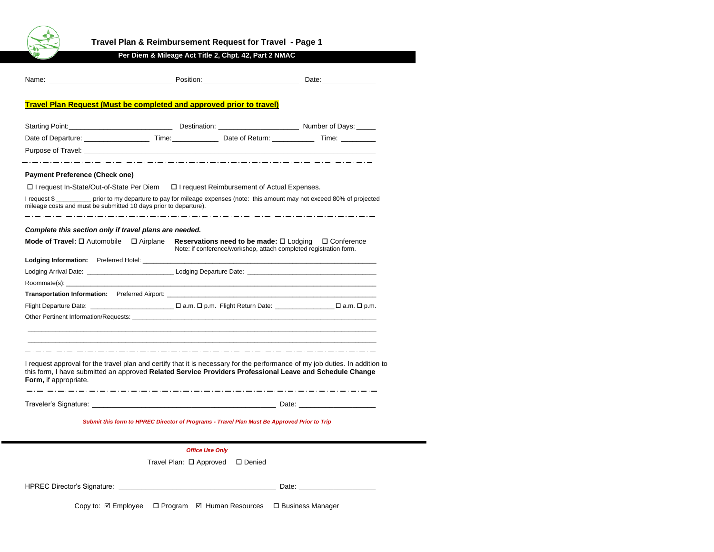

# **Travel Plan & Reimbursement Request for Travel - Page 1**

## **Per Diem & Mileage Act Title 2, Chpt. 42, Part 2 NMAC**

|                                                                                             | Name: Contract of Contract Contract Contract Position: Contract Contract Contract Contract Contract Contract Contract Contract Contract Contract Contract Contract Contract Contract Contract Contract Contract Contract Contr |                                                                                                                                           |  |  |  |  |
|---------------------------------------------------------------------------------------------|--------------------------------------------------------------------------------------------------------------------------------------------------------------------------------------------------------------------------------|-------------------------------------------------------------------------------------------------------------------------------------------|--|--|--|--|
|                                                                                             | <b>Travel Plan Request (Must be completed and approved prior to travel)</b>                                                                                                                                                    |                                                                                                                                           |  |  |  |  |
|                                                                                             |                                                                                                                                                                                                                                |                                                                                                                                           |  |  |  |  |
|                                                                                             | Starting Point: Number of Days: Number of Days: Number of Days:                                                                                                                                                                |                                                                                                                                           |  |  |  |  |
|                                                                                             | Date of Departure: The Contract of Departure: The Contract of Departure: Time: Time: Time: Time: Time: Time: Time: Time: Time: Time: Time: Time: Time: Time: Time: Time: Time: Time: Time: Time: Time: Time: Time: Time: Time: |                                                                                                                                           |  |  |  |  |
|                                                                                             |                                                                                                                                                                                                                                |                                                                                                                                           |  |  |  |  |
| <b>Payment Preference (Check one)</b>                                                       |                                                                                                                                                                                                                                |                                                                                                                                           |  |  |  |  |
|                                                                                             | □ I request In-State/Out-of-State Per Diem □ I request Reimbursement of Actual Expenses.                                                                                                                                       |                                                                                                                                           |  |  |  |  |
| mileage costs and must be submitted 10 days prior to departure).                            |                                                                                                                                                                                                                                | I request \$____________ prior to my departure to pay for mileage expenses (note: this amount may not exceed 80% of projected             |  |  |  |  |
| Complete this section only if travel plans are needed.                                      |                                                                                                                                                                                                                                |                                                                                                                                           |  |  |  |  |
| <b>Mode of Travel:</b> $\square$ Automobile $\square$ Airplane                              |                                                                                                                                                                                                                                | Reservations need to be made: $\square$ Lodging $\square$ Conference<br>Note: if conference/workshop, attach completed registration form. |  |  |  |  |
|                                                                                             |                                                                                                                                                                                                                                |                                                                                                                                           |  |  |  |  |
|                                                                                             | Lodging Arrival Date: The Contract of Lodging Departure Date:                                                                                                                                                                  |                                                                                                                                           |  |  |  |  |
|                                                                                             |                                                                                                                                                                                                                                |                                                                                                                                           |  |  |  |  |
|                                                                                             | <b>Transportation Information:</b> Preferred Airport:                                                                                                                                                                          |                                                                                                                                           |  |  |  |  |
|                                                                                             |                                                                                                                                                                                                                                | Flight Departure Date:<br>$\square$ a.m. $\square$ p.m. Flight Return Date: $\square$ a.m. $\square$ p.m.                                 |  |  |  |  |
|                                                                                             | Other Pertinent Information/Requests: example and a set of the set of the set of the set of the set of the set of the set of the set of the set of the set of the set of the set of the set of the set of the set of the set o |                                                                                                                                           |  |  |  |  |
|                                                                                             |                                                                                                                                                                                                                                |                                                                                                                                           |  |  |  |  |
| Form, if appropriate.                                                                       | this form, I have submitted an approved Related Service Providers Professional Leave and Schedule Change                                                                                                                       | I request approval for the travel plan and certify that it is necessary for the performance of my job duties. In addition to              |  |  |  |  |
|                                                                                             |                                                                                                                                                                                                                                |                                                                                                                                           |  |  |  |  |
| Submit this form to HPREC Director of Programs - Travel Plan Must Be Approved Prior to Trip |                                                                                                                                                                                                                                |                                                                                                                                           |  |  |  |  |
|                                                                                             |                                                                                                                                                                                                                                |                                                                                                                                           |  |  |  |  |

*Office Use Only*

Travel Plan:  $\square$  Approved  $\square$  Denied

| <b>HPREC Director's Signature:</b> | Date |
|------------------------------------|------|
|------------------------------------|------|

Copy to: Ø Employee □ Program Ø Human Resources □ Business Manager